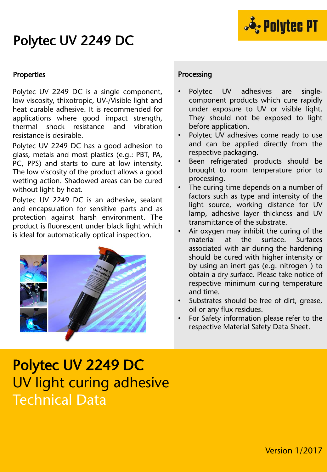## Polytec UV 2249 DC



#### **Properties**

Polytec UV 2249 DC is a single component, low viscosity, thixotropic, UV-/Visible light and heat curable adhesive. It is recommended for applications where good impact strength, thermal shock resistance and vibration resistance is desirable.

Polytec UV 2249 DC has a good adhesion to glass, metals and most plastics (e.g.: PBT, PA, PC, PPS) and starts to cure at low intensity. The low viscosity of the product allows a good wetting action. Shadowed areas can be cured without light by heat.

Polytec UV 2249 DC is an adhesive, sealant and encapsulation for sensitive parts and as protection against harsh environment. The product is fluorescent under black light which is ideal for automatically optical inspection.



### Processing

- Polytec UV adhesives are singlecomponent products which cure rapidly under exposure to UV or visible light. They should not be exposed to light before application.
- Polytec UV adhesives come ready to use and can be applied directly from the respective packaging.
- Been refrigerated products should be brought to room temperature prior to processing.
- The curing time depends on a number of factors such as type and intensity of the light source, working distance for UV lamp, adhesive layer thickness and UV transmittance of the substrate.
- Air oxygen may inhibit the curing of the material at the surface. Surfaces associated with air during the hardening should be cured with higher intensity or by using an inert gas (e.g. nitrogen ) to obtain a dry surface. Please take notice of respective minimum curing temperature and time.
- Substrates should be free of dirt, grease, oil or any flux residues.
- For Safety information please refer to the respective Material Safety Data Sheet.

# Polytec UV 2249 DC UV light curing adhesive Technical Data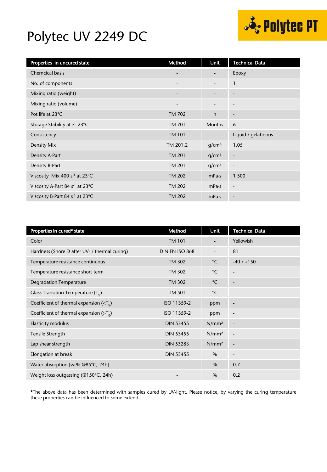### Polytec UV 2249 DC



| Properties in uncured state                 | Method                   | <b>Unit</b>              | <b>Technical Data</b>    |
|---------------------------------------------|--------------------------|--------------------------|--------------------------|
| <b>Chemcical basis</b>                      |                          | -                        | Epoxy                    |
| No. of components                           | $\overline{\phantom{0}}$ | $\overline{\phantom{0}}$ | 1                        |
| Mixing ratio (weight)                       |                          |                          | $\overline{\phantom{a}}$ |
| Mixing ratio (volume)                       | $\overline{\phantom{a}}$ | $\overline{\phantom{a}}$ | $\overline{\phantom{a}}$ |
| Pot life at 23°C                            | <b>TM 702</b>            | h                        | ٠                        |
| Storage Stability at 7-23°C                 | <b>TM 701</b>            | <b>Months</b>            | 6                        |
| Consistency                                 | <b>TM 101</b>            | $\overline{\phantom{a}}$ | Liquid / gelatinous      |
| Density Mix                                 | TM 201.2                 | q/cm <sup>3</sup>        | 1.05                     |
| Density A-Part                              | <b>TM 201</b>            | q/cm <sup>3</sup>        | $\overline{\phantom{a}}$ |
| Density B-Part                              | <b>TM 201</b>            | q/cm <sup>3</sup>        | $\overline{\phantom{a}}$ |
| Viscosity Mix 400 s <sup>-1</sup> at 23°C   | <b>TM 202</b>            | mPa·s                    | 1 500                    |
| Viscosity A-Part 84 s <sup>-1</sup> at 23°C | <b>TM 202</b>            | mPa·s                    | $\overline{\phantom{a}}$ |
| Viscosity B-Part 84 s <sup>-1</sup> at 23°C | <b>TM 202</b>            | mPa·s                    | $\overline{\phantom{a}}$ |

| Properties in cured* state                                 | Method           | <b>Unit</b>              | <b>Technical Data</b>    |
|------------------------------------------------------------|------------------|--------------------------|--------------------------|
| Color                                                      | <b>TM 101</b>    |                          | Yellowish                |
| Hardness (Shore D after UV- / thermal curing)              | DIN EN ISO 868   | $\overline{\phantom{0}}$ | 81                       |
| Temperature resistance continuous                          | <b>TM 302</b>    | $^{\circ}$ C             | $-40/ +150$              |
| Temperature resistance short term                          | <b>TM 302</b>    | $^{\circ}$ C             | $\overline{\phantom{a}}$ |
| <b>Degradation Temperature</b>                             | <b>TM 302</b>    | $^{\circ}$ C             | $\overline{\phantom{a}}$ |
| Glass Transition Temperature $(T_q)$                       | <b>TM 501</b>    | $^{\circ}$ C             | $\overline{\phantom{a}}$ |
| Coefficient of thermal expansion ( $\langle T_{q} \rangle$ | ISO 11359-2      | ppm                      | $\overline{\phantom{a}}$ |
| Coefficient of thermal expansion ( $\overline{Z}_q$ )      | ISO 11359-2      | ppm                      | $\overline{\phantom{a}}$ |
| <b>Elasticity modulus</b>                                  | <b>DIN 53455</b> | N/mm <sup>2</sup>        | $\overline{\phantom{a}}$ |
| Tensile Strength                                           | <b>DIN 53455</b> | N/mm <sup>2</sup>        | $\overline{\phantom{a}}$ |
| Lap shear strength                                         | <b>DIN 53283</b> | N/mm <sup>2</sup>        | $\overline{\phantom{a}}$ |
| Elongation at break                                        | <b>DIN 53455</b> | $\%$                     | $\overline{\phantom{a}}$ |
| Water absorption (wt% @85°C, 24h)                          |                  | $\%$                     | 0.7                      |
| Weight loss outgassing (@150°C, 24h)                       |                  | $\%$                     | 0.2                      |

\*The above data has been determined with samples cured by UV-light. Please notice, by varying the curing temperature these properties can be influenced to some extend.